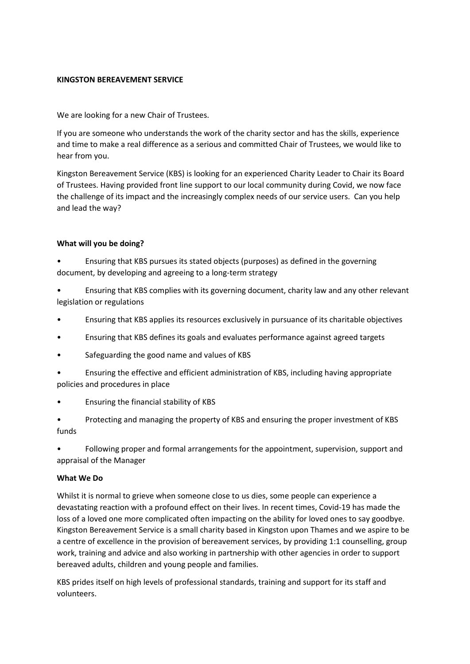# **KINGSTON BEREAVEMENT SERVICE**

We are looking for a new Chair of Trustees.

If you are someone who understands the work of the charity sector and has the skills, experience and time to make a real difference as a serious and committed Chair of Trustees, we would like to hear from you.

Kingston Bereavement Service (KBS) is looking for an experienced Charity Leader to Chair its Board of Trustees. Having provided front line support to our local community during Covid, we now face the challenge of its impact and the increasingly complex needs of our service users. Can you help and lead the way?

# **What will you be doing?**

• Ensuring that KBS pursues its stated objects (purposes) as defined in the governing document, by developing and agreeing to a long-term strategy

• Ensuring that KBS complies with its governing document, charity law and any other relevant legislation or regulations

- Ensuring that KBS applies its resources exclusively in pursuance of its charitable objectives
- Ensuring that KBS defines its goals and evaluates performance against agreed targets
- Safeguarding the good name and values of KBS
- Ensuring the effective and efficient administration of KBS, including having appropriate policies and procedures in place
- Ensuring the financial stability of KBS
- Protecting and managing the property of KBS and ensuring the proper investment of KBS funds

• Following proper and formal arrangements for the appointment, supervision, support and appraisal of the Manager

## **What We Do**

Whilst it is normal to grieve when someone close to us dies, some people can experience a devastating reaction with a profound effect on their lives. In recent times, Covid-19 has made the loss of a loved one more complicated often impacting on the ability for loved ones to say goodbye. Kingston Bereavement Service is a small charity based in Kingston upon Thames and we aspire to be a centre of excellence in the provision of bereavement services, by providing 1:1 counselling, group work, training and advice and also working in partnership with other agencies in order to support bereaved adults, children and young people and families.

KBS prides itself on high levels of professional standards, training and support for its staff and volunteers.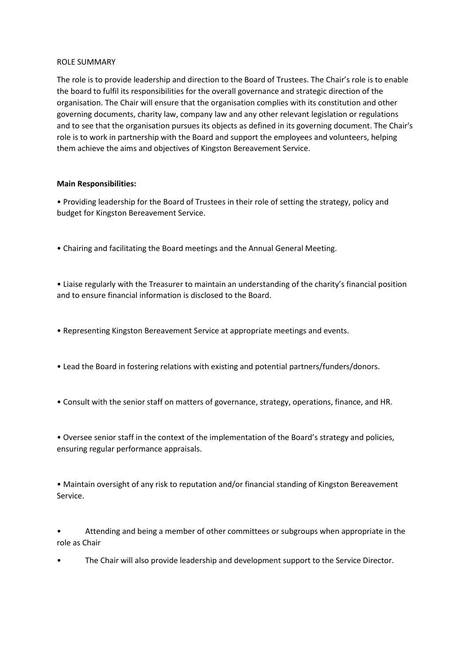#### ROLE SUMMARY

The role is to provide leadership and direction to the Board of Trustees. The Chair's role is to enable the board to fulfil its responsibilities for the overall governance and strategic direction of the organisation. The Chair will ensure that the organisation complies with its constitution and other governing documents, charity law, company law and any other relevant legislation or regulations and to see that the organisation pursues its objects as defined in its governing document. The Chair's role is to work in partnership with the Board and support the employees and volunteers, helping them achieve the aims and objectives of Kingston Bereavement Service.

#### **Main Responsibilities:**

• Providing leadership for the Board of Trustees in their role of setting the strategy, policy and budget for Kingston Bereavement Service.

• Chairing and facilitating the Board meetings and the Annual General Meeting.

• Liaise regularly with the Treasurer to maintain an understanding of the charity's financial position and to ensure financial information is disclosed to the Board.

- Representing Kingston Bereavement Service at appropriate meetings and events.
- Lead the Board in fostering relations with existing and potential partners/funders/donors.
- Consult with the senior staff on matters of governance, strategy, operations, finance, and HR.

• Oversee senior staff in the context of the implementation of the Board's strategy and policies, ensuring regular performance appraisals.

• Maintain oversight of any risk to reputation and/or financial standing of Kingston Bereavement Service.

• Attending and being a member of other committees or subgroups when appropriate in the role as Chair

• The Chair will also provide leadership and development support to the Service Director.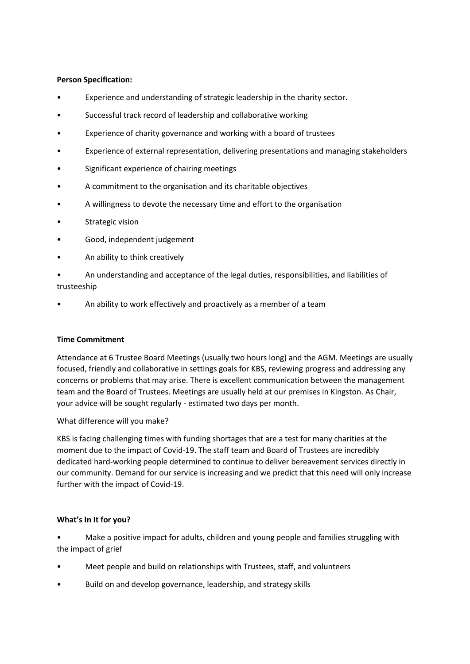## **Person Specification:**

- Experience and understanding of strategic leadership in the charity sector.
- Successful track record of leadership and collaborative working
- Experience of charity governance and working with a board of trustees
- Experience of external representation, delivering presentations and managing stakeholders
- Significant experience of chairing meetings
- A commitment to the organisation and its charitable objectives
- A willingness to devote the necessary time and effort to the organisation
- Strategic vision
- Good, independent judgement
- An ability to think creatively
- An understanding and acceptance of the legal duties, responsibilities, and liabilities of trusteeship
- An ability to work effectively and proactively as a member of a team

## **Time Commitment**

Attendance at 6 Trustee Board Meetings (usually two hours long) and the AGM. Meetings are usually focused, friendly and collaborative in settings goals for KBS, reviewing progress and addressing any concerns or problems that may arise. There is excellent communication between the management team and the Board of Trustees. Meetings are usually held at our premises in Kingston. As Chair, your advice will be sought regularly - estimated two days per month.

What difference will you make?

KBS is facing challenging times with funding shortages that are a test for many charities at the moment due to the impact of Covid-19. The staff team and Board of Trustees are incredibly dedicated hard-working people determined to continue to deliver bereavement services directly in our community. Demand for our service is increasing and we predict that this need will only increase further with the impact of Covid-19.

## **What's In It for you?**

• Make a positive impact for adults, children and young people and families struggling with the impact of grief

- Meet people and build on relationships with Trustees, staff, and volunteers
- Build on and develop governance, leadership, and strategy skills